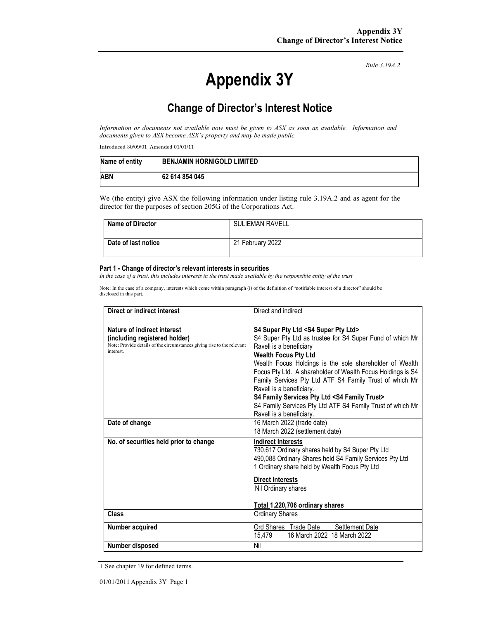# **Appendix 3Y**

*Rule 3.19A.2*

# **Change of Director's Interest Notice**

*Information or documents not available now must be given to ASX as soon as available. Information and documents given to ASX become ASX's property and may be made public.* 

Introduced 30/09/01 Amended 01/01/11

| Name of entity | <b>BENJAMIN HORNIGOLD LIMITED</b> |
|----------------|-----------------------------------|
| <b>ABN</b>     | 62 614 854 045                    |

We (the entity) give ASX the following information under listing rule 3.19A.2 and as agent for the director for the purposes of section 205G of the Corporations Act.

| <b>Name of Director</b> | <b>SULIEMAN RAVELL</b> |
|-------------------------|------------------------|
| Date of last notice     | 21 February 2022       |

#### **Part 1 - Change of director's relevant interests in securities**

*In the case of a trust, this includes interests in the trust made available by the responsible entity of the trust* 

Note: In the case of a company, interests which come within paragraph (i) of the definition of "notifiable interest of a director" should be disclosed in this part.

| Direct or indirect interest                                                                                                                         | Direct and indirect                                                                                                                                                                                                                                                                                                                                                                                                                                                                                                                                      |  |
|-----------------------------------------------------------------------------------------------------------------------------------------------------|----------------------------------------------------------------------------------------------------------------------------------------------------------------------------------------------------------------------------------------------------------------------------------------------------------------------------------------------------------------------------------------------------------------------------------------------------------------------------------------------------------------------------------------------------------|--|
| Nature of indirect interest<br>(including registered holder)<br>Note: Provide details of the circumstances giving rise to the relevant<br>interest. | S4 Super Pty Ltd <s4 ltd="" pty="" super=""><br/>S4 Super Pty Ltd as trustee for S4 Super Fund of which Mr<br/>Ravell is a beneficiary<br/><b>Wealth Focus Pty Ltd</b><br/>Wealth Focus Holdings is the sole shareholder of Wealth<br/>Focus Pty Ltd. A shareholder of Wealth Focus Holdings is S4<br/>Family Services Pty Ltd ATF S4 Family Trust of which Mr<br/>Ravell is a beneficiary.<br/>S4 Family Services Pty Ltd <s4 family="" trust=""><br/>S4 Family Services Pty Ltd ATF S4 Family Trust of which Mr<br/>Ravell is a beneficiary.</s4></s4> |  |
| Date of change                                                                                                                                      | 16 March 2022 (trade date)<br>18 March 2022 (settlement date)                                                                                                                                                                                                                                                                                                                                                                                                                                                                                            |  |
| No. of securities held prior to change                                                                                                              | <b>Indirect Interests</b><br>730,617 Ordinary shares held by S4 Super Pty Ltd<br>490,088 Ordinary Shares held S4 Family Services Pty Ltd<br>1 Ordinary share held by Wealth Focus Pty Ltd<br><b>Direct Interests</b><br>Nil Ordinary shares<br>Total 1,220,706 ordinary shares                                                                                                                                                                                                                                                                           |  |
| Class                                                                                                                                               | <b>Ordinary Shares</b>                                                                                                                                                                                                                                                                                                                                                                                                                                                                                                                                   |  |
| Number acquired                                                                                                                                     | Ord Shares Trade Date<br>Settlement Date<br>15,479<br>16 March 2022 18 March 2022                                                                                                                                                                                                                                                                                                                                                                                                                                                                        |  |
| Number disposed                                                                                                                                     | Nil                                                                                                                                                                                                                                                                                                                                                                                                                                                                                                                                                      |  |

<sup>+</sup> See chapter 19 for defined terms.